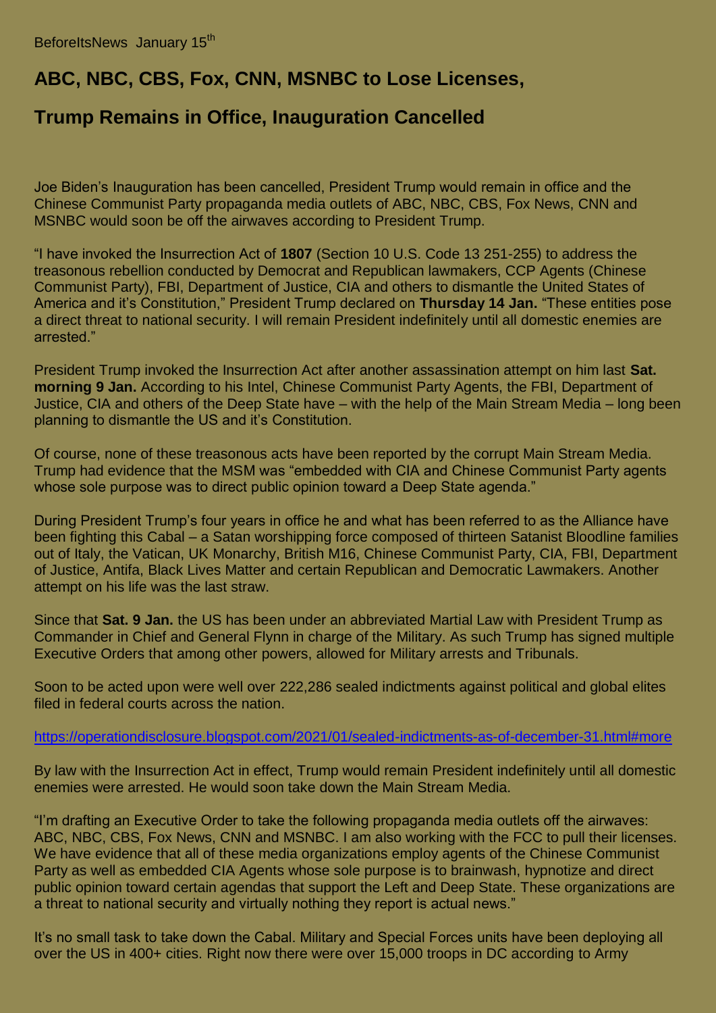## **ABC, NBC, CBS, Fox, CNN, MSNBC to Lose Licenses,**

## **Trump Remains in Office, Inauguration Cancelled**

Joe Biden's Inauguration has been cancelled, President Trump would remain in office and the Chinese Communist Party propaganda media outlets of ABC, NBC, CBS, Fox News, CNN and MSNBC would soon be off the airwaves according to President Trump.

"I have invoked the Insurrection Act of **1807** (Section 10 U.S. Code 13 251-255) to address the treasonous rebellion conducted by Democrat and Republican lawmakers, CCP Agents (Chinese Communist Party), FBI, Department of Justice, CIA and others to dismantle the United States of America and it's Constitution," President Trump declared on **Thursday 14 Jan.** "These entities pose a direct threat to national security. I will remain President indefinitely until all domestic enemies are arrested."

President Trump invoked the Insurrection Act after another assassination attempt on him last **Sat. morning 9 Jan.** According to his Intel, Chinese Communist Party Agents, the FBI, Department of Justice, CIA and others of the Deep State have – with the help of the Main Stream Media – long been planning to dismantle the US and it's Constitution.

Of course, none of these treasonous acts have been reported by the corrupt Main Stream Media. Trump had evidence that the MSM was "embedded with CIA and Chinese Communist Party agents whose sole purpose was to direct public opinion toward a Deep State agenda."

During President Trump's four years in office he and what has been referred to as the Alliance have been fighting this Cabal – a Satan worshipping force composed of thirteen Satanist Bloodline families out of Italy, the Vatican, UK Monarchy, British M16, Chinese Communist Party, CIA, FBI, Department of Justice, Antifa, Black Lives Matter and certain Republican and Democratic Lawmakers. Another attempt on his life was the last straw.

Since that **Sat. 9 Jan.** the US has been under an abbreviated Martial Law with President Trump as Commander in Chief and General Flynn in charge of the Military. As such Trump has signed multiple Executive Orders that among other powers, allowed for Military arrests and Tribunals.

Soon to be acted upon were well over 222,286 sealed indictments against political and global elites filed in federal courts across the nation.

## [https://operationdisclosure.blogspot.com/2021/01/sealed-indictments-as-of-december-31.html#more](https://beforeitsnews.com/v3/r2/?url=http://tapnewswire.com//2021/01/inauguration-cancelled-trump-remains-in-office-abc-nbc-cbs-fox-cnn-msnbc-to-loose-licenses/https://operationdisclosure.blogspot.com/2021/01/sealed-indictments-as-of-december-31.html#more)

By law with the Insurrection Act in effect, Trump would remain President indefinitely until all domestic enemies were arrested. He would soon take down the Main Stream Media.

"I'm drafting an Executive Order to take the following propaganda media outlets off the airwaves: ABC, NBC, CBS, Fox News, CNN and MSNBC. I am also working with the FCC to pull their licenses. We have evidence that all of these media organizations employ agents of the Chinese Communist Party as well as embedded CIA Agents whose sole purpose is to brainwash, hypnotize and direct public opinion toward certain agendas that support the Left and Deep State. These organizations are a threat to national security and virtually nothing they report is actual news."

It's no small task to take down the Cabal. Military and Special Forces units have been deploying all over the US in 400+ cities. Right now there were over 15,000 troops in DC according to Army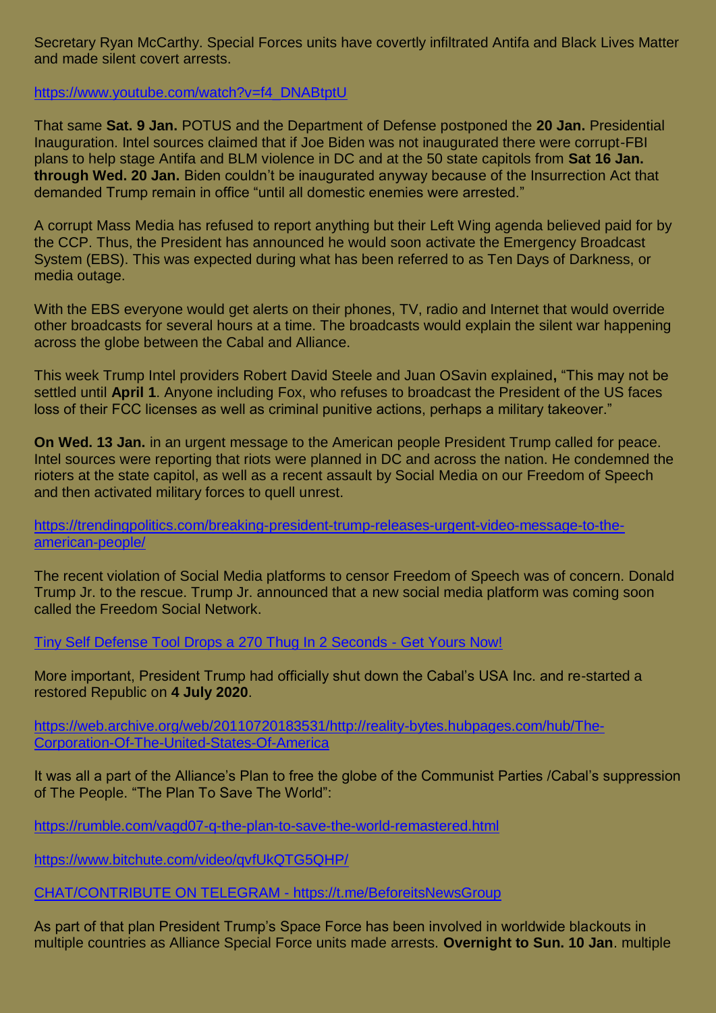Secretary Ryan McCarthy. Special Forces units have covertly infiltrated Antifa and Black Lives Matter and made silent covert arrests.

[https://www.youtube.com/watch?v=f4\\_DNABtptU](https://beforeitsnews.com/v3/r2/?url=http://tapnewswire.com//2021/01/inauguration-cancelled-trump-remains-in-office-abc-nbc-cbs-fox-cnn-msnbc-to-loose-licenses/https://www.youtube.com/watch?v=f4_DNABtptU)

That same **Sat. 9 Jan.** POTUS and the Department of Defense postponed the **20 Jan.** Presidential Inauguration. Intel sources claimed that if Joe Biden was not inaugurated there were corrupt-FBI plans to help stage Antifa and BLM violence in DC and at the 50 state capitols from **Sat 16 Jan. through Wed. 20 Jan.** Biden couldn't be inaugurated anyway because of the Insurrection Act that demanded Trump remain in office "until all domestic enemies were arrested."

A corrupt Mass Media has refused to report anything but their Left Wing agenda believed paid for by the CCP. Thus, the President has announced he would soon activate the Emergency Broadcast System (EBS). This was expected during what has been referred to as Ten Days of Darkness, or media outage.

With the EBS everyone would get alerts on their phones, TV, radio and Internet that would override other broadcasts for several hours at a time. The broadcasts would explain the silent war happening across the globe between the Cabal and Alliance.

This week Trump Intel providers Robert David Steele and Juan OSavin explained**,** "This may not be settled until **April 1**. Anyone including Fox, who refuses to broadcast the President of the US faces loss of their FCC licenses as well as criminal punitive actions, perhaps a military takeover."

**On Wed. 13 Jan.** in an urgent message to the American people President Trump called for peace. Intel sources were reporting that riots were planned in DC and across the nation. He condemned the rioters at the state capitol, as well as a recent assault by Social Media on our Freedom of Speech and then activated military forces to quell unrest.

[https://trendingpolitics.com/breaking-president-trump-releases-urgent-video-message-to-the](https://beforeitsnews.com/v3/r2/?url=http://tapnewswire.com//2021/01/inauguration-cancelled-trump-remains-in-office-abc-nbc-cbs-fox-cnn-msnbc-to-loose-licenses/https://trendingpolitics.com/breaking-president-trump-releases-urgent-video-message-to-the-american-people/)[american-people/](https://beforeitsnews.com/v3/r2/?url=http://tapnewswire.com//2021/01/inauguration-cancelled-trump-remains-in-office-abc-nbc-cbs-fox-cnn-msnbc-to-loose-licenses/https://trendingpolitics.com/breaking-president-trump-releases-urgent-video-message-to-the-american-people/)

The recent violation of Social Media platforms to censor Freedom of Speech was of concern. Donald Trump Jr. to the rescue. Trump Jr. announced that a new social media platform was coming soon called the Freedom Social Network.

[Tiny Self Defense Tool Drops a 270 Thug In 2 Seconds -](https://tinyurl.com/y29fu3rf) Get Yours Now!

More important, President Trump had officially shut down the Cabal's USA Inc. and re-started a restored Republic on **4 July 2020**.

[https://web.archive.org/web/20110720183531/http://reality-bytes.hubpages.com/hub/The-](https://beforeitsnews.com/v3/r2/?url=http://tapnewswire.com//2021/01/inauguration-cancelled-trump-remains-in-office-abc-nbc-cbs-fox-cnn-msnbc-to-loose-licenses/https://web.archive.org/web/20110720183531/http:/reality-bytes.hubpages.com/hub/The-Corporation-Of-The-United-States-Of-America)[Corporation-Of-The-United-States-Of-America](https://beforeitsnews.com/v3/r2/?url=http://tapnewswire.com//2021/01/inauguration-cancelled-trump-remains-in-office-abc-nbc-cbs-fox-cnn-msnbc-to-loose-licenses/https://web.archive.org/web/20110720183531/http:/reality-bytes.hubpages.com/hub/The-Corporation-Of-The-United-States-Of-America)

It was all a part of the Alliance's Plan to free the globe of the Communist Parties /Cabal's suppression of The People. "The Plan To Save The World":

[https://rumble.com/vagd07-q-the-plan-to-save-the-world-remastered.html](https://beforeitsnews.com/v3/r2/?url=http://tapnewswire.com//2021/01/inauguration-cancelled-trump-remains-in-office-abc-nbc-cbs-fox-cnn-msnbc-to-loose-licenses/https://rumble.com/vagd07-q-the-plan-to-save-the-world-remastered.html)

[https://www.bitchute.com/video/qvfUkQTG5QHP/](https://beforeitsnews.com/v3/r2/?url=http://tapnewswire.com//2021/01/inauguration-cancelled-trump-remains-in-office-abc-nbc-cbs-fox-cnn-msnbc-to-loose-licenses/https://www.bitchute.com/video/qvfUkQTG5QHP/)

[CHAT/CONTRIBUTE ON TELEGRAM -](https://t.me/BeforeitsNewsGroup) https://t.me/BeforeitsNewsGroup

As part of that plan President Trump's Space Force has been involved in worldwide blackouts in multiple countries as Alliance Special Force units made arrests. **Overnight to Sun. 10 Jan**. multiple